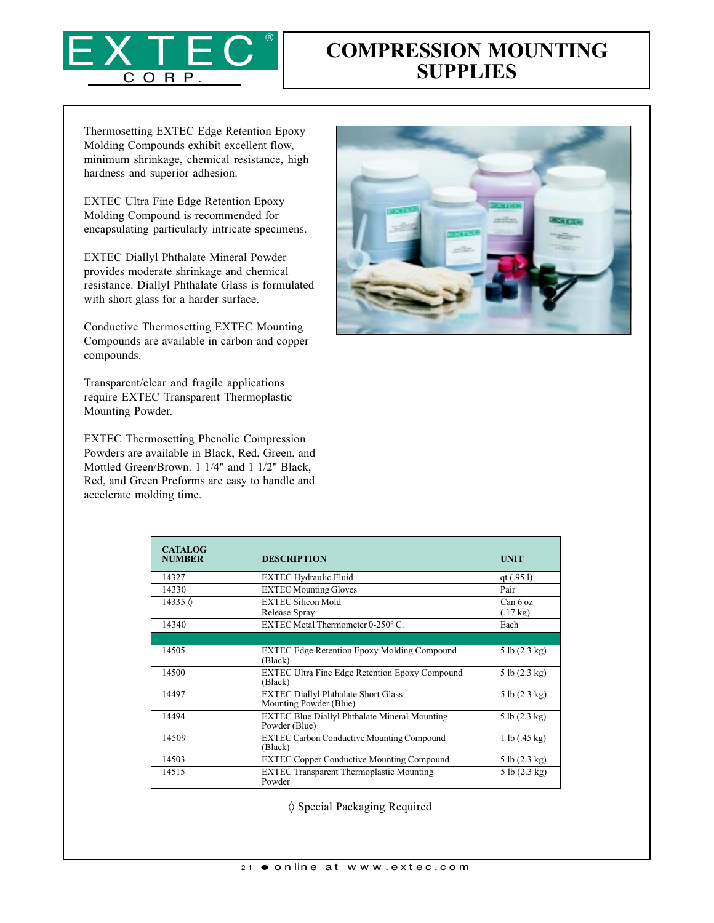

## COMPRESSION MOUNTING **SUPPLIES**

Thermosetting EXTEC Edge Retention Epoxy Molding Compounds exhibit excellent flow, minimum shrinkage, chemical resistance, high hardness and superior adhesion.

EXTEC Ultra Fine Edge Retention Epoxy Molding Compound is recommended for encapsulating particularly intricate specimens.

EXTEC Diallyl Phthalate Mineral Powder provides moderate shrinkage and chemical resistance. Diallyl Phthalate Glass is formulated with short glass for a harder surface.

Conductive Thermosetting EXTEC Mounting Compounds are available in carbon and copper compounds.

Transparent/clear and fragile applications require EXTEC Transparent Thermoplastic Mounting Powder.

EXTEC Thermosetting Phenolic Compression Powders are available in Black, Red, Green, and Mottled Green/Brown. 1 1/4" and 1 1/2" Black, Red, and Green Preforms are easy to handle and accelerate molding time.



| <b>CATALOG</b><br><b>NUMBER</b> | <b>DESCRIPTION</b>                                                    | <b>UNIT</b>                    |
|---------------------------------|-----------------------------------------------------------------------|--------------------------------|
| 14327                           | <b>EXTEC Hydraulic Fluid</b>                                          | qt $(.951)$                    |
| 14330                           | <b>EXTEC Mounting Gloves</b>                                          | Pair                           |
| 14335 $\Diamond$                | <b>EXTEC Silicon Mold</b><br>Release Spray                            | Can 6 oz<br>$(.17 \text{ kg})$ |
| 14340                           | EXTEC Metal Thermometer 0-250°C.                                      | Each                           |
|                                 |                                                                       |                                |
| 14505                           | <b>EXTEC Edge Retention Epoxy Molding Compound</b><br>(Black)         | 5 lb (2.3 kg)                  |
| 14500                           | <b>EXTEC Ultra Fine Edge Retention Epoxy Compound</b><br>(Black)      | 5 lb (2.3 kg)                  |
| 14497                           | <b>EXTEC Diallyl Phthalate Short Glass</b><br>Mounting Powder (Blue)  | 5 lb (2.3 kg)                  |
| 14494                           | <b>EXTEC Blue Diallyl Phthalate Mineral Mounting</b><br>Powder (Blue) | 5 lb (2.3 kg)                  |
| 14509                           | <b>EXTEC Carbon Conductive Mounting Compound</b><br>(Black)           | 1 lb (0.45 kg)                 |
| 14503                           | <b>EXTEC Copper Conductive Mounting Compound</b>                      | 5 lb (2.3 kg)                  |
| 14515                           | <b>EXTEC Transparent Thermoplastic Mounting</b><br>Powder             | 5 lb (2.3 kg)                  |

◊ Special Packaging Required